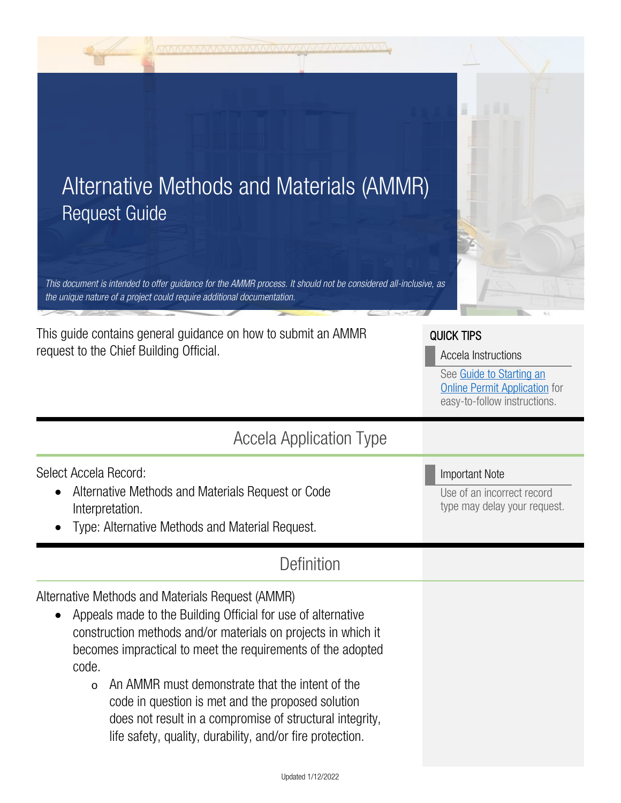| <u>mana amang nanang amang akan ang kalimanan ang kal</u>                                                                                                                                                                                                                                                                                                                                                                                                                                                          |                                                                                                                                              |
|--------------------------------------------------------------------------------------------------------------------------------------------------------------------------------------------------------------------------------------------------------------------------------------------------------------------------------------------------------------------------------------------------------------------------------------------------------------------------------------------------------------------|----------------------------------------------------------------------------------------------------------------------------------------------|
| Alternative Methods and Materials (AMMR)<br><b>Request Guide</b><br>This document is intended to offer guidance for the AMMR process. It should not be considered all-inclusive, as<br>the unique nature of a project could require additional documentation.                                                                                                                                                                                                                                                      |                                                                                                                                              |
| This guide contains general guidance on how to submit an AMMR<br>request to the Chief Building Official.                                                                                                                                                                                                                                                                                                                                                                                                           | <b>QUICK TIPS</b><br>Accela Instructions<br>See Guide to Starting an<br><b>Online Permit Application</b> for<br>easy-to-follow instructions. |
| <b>Accela Application Type</b>                                                                                                                                                                                                                                                                                                                                                                                                                                                                                     |                                                                                                                                              |
| Select Accela Record:<br>Alternative Methods and Materials Request or Code<br>Interpretation.<br>Type: Alternative Methods and Material Request.                                                                                                                                                                                                                                                                                                                                                                   | <b>Important Note</b><br>Use of an incorrect record<br>type may delay your request.                                                          |
| Definition                                                                                                                                                                                                                                                                                                                                                                                                                                                                                                         |                                                                                                                                              |
| Alternative Methods and Materials Request (AMMR)<br>Appeals made to the Building Official for use of alternative<br>$\bullet$<br>construction methods and/or materials on projects in which it<br>becomes impractical to meet the requirements of the adopted<br>code.<br>An AMMR must demonstrate that the intent of the<br>$\circ$<br>code in question is met and the proposed solution<br>does not result in a compromise of structural integrity,<br>life safety, quality, durability, and/or fire protection. |                                                                                                                                              |